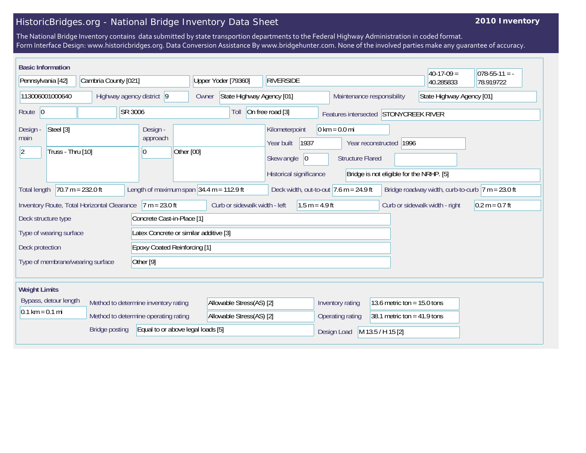## HistoricBridges.org - National Bridge Inventory Data Sheet

## **2010 Inventory**

The National Bridge Inventory contains data submitted by state transportion departments to the Federal Highway Administration in coded format. Form Interface Design: www.historicbridges.org. Data Conversion Assistance By www.bridgehunter.com. None of the involved parties make any guarantee of accuracy.

| <b>Basic Information</b>                                                                                                                                                                                      |                                                                                                                                                                                                                                                                                                         |                                             |         |                                      |                                         |                                                         |                  |                  |                  |                                       | $40-17-09=$                    | $078-55-11 = -$  |
|---------------------------------------------------------------------------------------------------------------------------------------------------------------------------------------------------------------|---------------------------------------------------------------------------------------------------------------------------------------------------------------------------------------------------------------------------------------------------------------------------------------------------------|---------------------------------------------|---------|--------------------------------------|-----------------------------------------|---------------------------------------------------------|------------------|------------------|------------------|---------------------------------------|--------------------------------|------------------|
| Pennsylvania [42]                                                                                                                                                                                             |                                                                                                                                                                                                                                                                                                         | Cambria County [021]                        |         |                                      | Upper Yoder [79360]<br><b>RIVERSIDE</b> |                                                         |                  |                  |                  | 40.285833                             | 78.919722                      |                  |
| 113006001000640                                                                                                                                                                                               |                                                                                                                                                                                                                                                                                                         | Highway agency district 9                   |         |                                      | Owner                                   | State Highway Agency [01]<br>Maintenance responsibility |                  |                  |                  | State Highway Agency [01]             |                                |                  |
| Route $ 0$                                                                                                                                                                                                    |                                                                                                                                                                                                                                                                                                         |                                             | SR 3006 |                                      |                                         | Toll                                                    | On free road [3] |                  |                  | Features intersected STONYCREEK RIVER |                                |                  |
| Design -<br>main<br><u> 2</u>                                                                                                                                                                                 | $0 \text{ km} = 0.0 \text{ mi}$<br>Steel [3]<br>Design -<br>Kilometerpoint<br>approach<br>Year built<br>1937<br>Year reconstructed 1996<br>Truss - Thru [10]<br>Other [00]<br>10<br>Skew angle<br> 0 <br><b>Structure Flared</b><br>Historical significance<br>Bridge is not eligible for the NRHP. [5] |                                             |         |                                      |                                         |                                                         |                  |                  |                  |                                       |                                |                  |
| $70.7 m = 232.0 ft$<br>Length of maximum span $34.4$ m = 112.9 ft<br>Bridge roadway width, curb-to-curb $ 7 m = 23.0$ ft<br>Deck width, out-to-out $ 7.6 \text{ m} = 24.9 \text{ ft} $<br><b>Total length</b> |                                                                                                                                                                                                                                                                                                         |                                             |         |                                      |                                         |                                                         |                  |                  |                  |                                       |                                |                  |
|                                                                                                                                                                                                               |                                                                                                                                                                                                                                                                                                         | Inventory Route, Total Horizontal Clearance |         | $7 m = 23.0 ft$                      |                                         | Curb or sidewalk width - left                           |                  | $1.5 m = 4.9 ft$ |                  |                                       | Curb or sidewalk width - right | $0.2 m = 0.7 ft$ |
| Deck structure type                                                                                                                                                                                           |                                                                                                                                                                                                                                                                                                         |                                             |         | Concrete Cast-in-Place [1]           |                                         |                                                         |                  |                  |                  |                                       |                                |                  |
| Type of wearing surface                                                                                                                                                                                       |                                                                                                                                                                                                                                                                                                         |                                             |         |                                      | Latex Concrete or similar additive [3]  |                                                         |                  |                  |                  |                                       |                                |                  |
| <b>Epoxy Coated Reinforcing [1]</b><br>Deck protection                                                                                                                                                        |                                                                                                                                                                                                                                                                                                         |                                             |         |                                      |                                         |                                                         |                  |                  |                  |                                       |                                |                  |
| Other [9]<br>Type of membrane/wearing surface                                                                                                                                                                 |                                                                                                                                                                                                                                                                                                         |                                             |         |                                      |                                         |                                                         |                  |                  |                  |                                       |                                |                  |
|                                                                                                                                                                                                               |                                                                                                                                                                                                                                                                                                         |                                             |         |                                      |                                         |                                                         |                  |                  |                  |                                       |                                |                  |
| <b>Weight Limits</b>                                                                                                                                                                                          |                                                                                                                                                                                                                                                                                                         |                                             |         |                                      |                                         |                                                         |                  |                  |                  |                                       |                                |                  |
|                                                                                                                                                                                                               | Bypass, detour length                                                                                                                                                                                                                                                                                   |                                             |         | Method to determine inventory rating |                                         | Allowable Stress(AS) [2]                                |                  |                  | Inventory rating | 13.6 metric ton = $15.0$ tons         |                                |                  |
| $0.1 \text{ km} = 0.1 \text{ mi}$                                                                                                                                                                             |                                                                                                                                                                                                                                                                                                         |                                             |         | Method to determine operating rating |                                         | Allowable Stress(AS) [2]                                |                  |                  | Operating rating | 38.1 metric ton = $41.9$ tons         |                                |                  |
|                                                                                                                                                                                                               |                                                                                                                                                                                                                                                                                                         | <b>Bridge posting</b>                       |         |                                      | Equal to or above legal loads [5]       |                                                         |                  |                  | Design Load      | M 13.5 / H 15 [2]                     |                                |                  |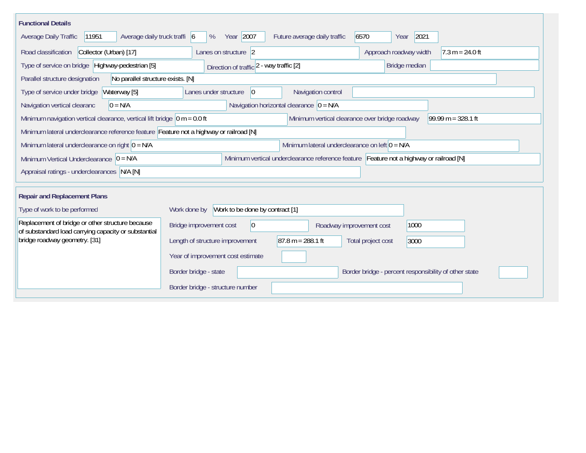| <b>Functional Details</b>                                                                                                                                  |                                                 |                          |                                                       |  |  |  |  |  |  |
|------------------------------------------------------------------------------------------------------------------------------------------------------------|-------------------------------------------------|--------------------------|-------------------------------------------------------|--|--|--|--|--|--|
| Year 2007<br>Average daily truck traffi 6<br>6570<br>2021<br>Average Daily Traffic<br>11951<br>Future average daily traffic<br>%<br>Year                   |                                                 |                          |                                                       |  |  |  |  |  |  |
| Collector (Urban) [17]<br>Road classification                                                                                                              | Approach roadway width<br>$7.3 m = 24.0 ft$     |                          |                                                       |  |  |  |  |  |  |
| Type of service on bridge Highway-pedestrian [5]                                                                                                           | Direction of traffic 2 - way traffic [2]        |                          | Bridge median                                         |  |  |  |  |  |  |
| Parallel structure designation<br>No parallel structure exists. [N]                                                                                        |                                                 |                          |                                                       |  |  |  |  |  |  |
| Waterway [5]<br>Type of service under bridge                                                                                                               | Lanes under structure<br>$\overline{0}$         | Navigation control       |                                                       |  |  |  |  |  |  |
| Navigation horizontal clearance $ 0 = N/A $<br>$0 = N/A$<br>Navigation vertical clearanc                                                                   |                                                 |                          |                                                       |  |  |  |  |  |  |
| Minimum navigation vertical clearance, vertical lift bridge $\vert$ 0 m = 0.0 ft<br>99.99 m = $328.1$ ft<br>Minimum vertical clearance over bridge roadway |                                                 |                          |                                                       |  |  |  |  |  |  |
| Minimum lateral underclearance reference feature Feature not a highway or railroad [N]                                                                     |                                                 |                          |                                                       |  |  |  |  |  |  |
| Minimum lateral underclearance on left $0 = N/A$<br>Minimum lateral underclearance on right $0 = N/A$                                                      |                                                 |                          |                                                       |  |  |  |  |  |  |
| Minimum vertical underclearance reference feature Feature not a highway or railroad [N]<br>Minimum Vertical Underclearance $ 0 = N/A $                     |                                                 |                          |                                                       |  |  |  |  |  |  |
| Appraisal ratings - underclearances N/A [N]                                                                                                                |                                                 |                          |                                                       |  |  |  |  |  |  |
|                                                                                                                                                            |                                                 |                          |                                                       |  |  |  |  |  |  |
| <b>Repair and Replacement Plans</b>                                                                                                                        |                                                 |                          |                                                       |  |  |  |  |  |  |
| Type of work to be performed                                                                                                                               | Work to be done by contract [1]<br>Work done by |                          |                                                       |  |  |  |  |  |  |
| Replacement of bridge or other structure because<br>of substandard load carrying capacity or substantial                                                   | Bridge improvement cost<br>$ 0\rangle$          | Roadway improvement cost | 1000                                                  |  |  |  |  |  |  |
| bridge roadway geometry. [31]                                                                                                                              | Length of structure improvement                 | $87.8 m = 288.1 ft$      | Total project cost<br>3000                            |  |  |  |  |  |  |
|                                                                                                                                                            | Year of improvement cost estimate               |                          |                                                       |  |  |  |  |  |  |
|                                                                                                                                                            | Border bridge - state                           |                          | Border bridge - percent responsibility of other state |  |  |  |  |  |  |
|                                                                                                                                                            | Border bridge - structure number                |                          |                                                       |  |  |  |  |  |  |